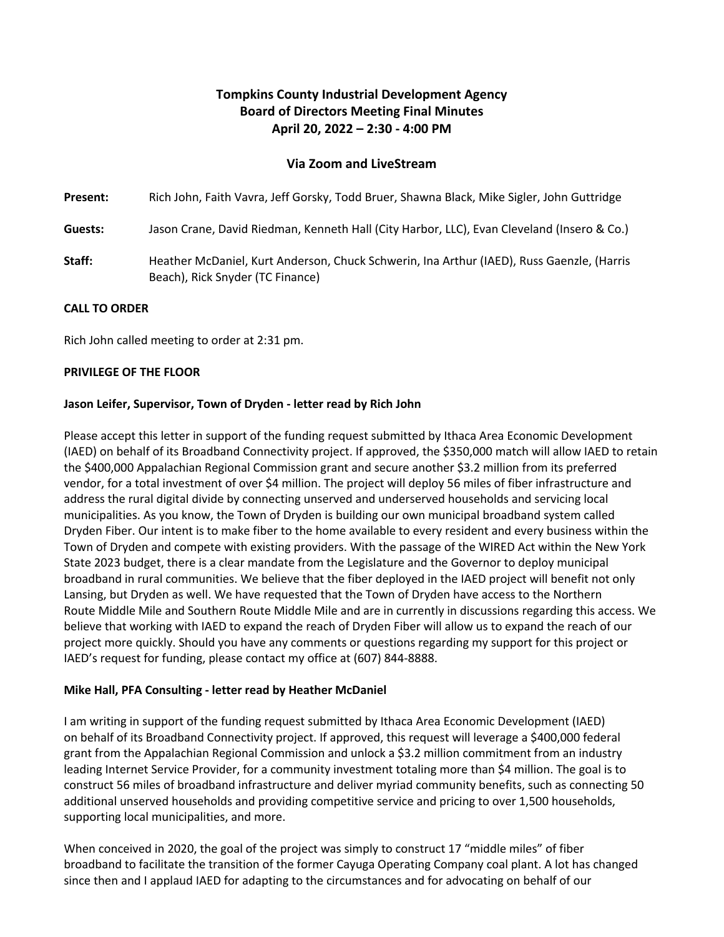# **Tompkins County Industrial Development Agency Board of Directors Meeting Final Minutes April 20, 2022 – 2:30 - 4:00 PM**

## **Via Zoom and LiveStream**

**Present:** Rich John, Faith Vavra, Jeff Gorsky, Todd Bruer, Shawna Black, Mike Sigler, John Guttridge

**Guests:** Jason Crane, David Riedman, Kenneth Hall (City Harbor, LLC), Evan Cleveland (Insero & Co.)

**Staff:** Heather McDaniel, Kurt Anderson, Chuck Schwerin, Ina Arthur (IAED), Russ Gaenzle, (Harris Beach), Rick Snyder (TC Finance)

#### **CALL TO ORDER**

Rich John called meeting to order at 2:31 pm.

#### **PRIVILEGE OF THE FLOOR**

#### **Jason Leifer, Supervisor, Town of Dryden - letter read by Rich John**

Please accept this letter in support of the funding request submitted by Ithaca Area Economic Development (IAED) on behalf of its Broadband Connectivity project. If approved, the \$350,000 match will allow IAED to retain the \$400,000 Appalachian Regional Commission grant and secure another \$3.2 million from its preferred vendor, for a total investment of over \$4 million. The project will deploy 56 miles of fiber infrastructure and address the rural digital divide by connecting unserved and underserved households and servicing local municipalities. As you know, the Town of Dryden is building our own municipal broadband system called Dryden Fiber. Our intent is to make fiber to the home available to every resident and every business within the Town of Dryden and compete with existing providers. With the passage of the WIRED Act within the New York State 2023 budget, there is a clear mandate from the Legislature and the Governor to deploy municipal broadband in rural communities. We believe that the fiber deployed in the IAED project will benefit not only Lansing, but Dryden as well. We have requested that the Town of Dryden have access to the Northern Route Middle Mile and Southern Route Middle Mile and are in currently in discussions regarding this access. We believe that working with IAED to expand the reach of Dryden Fiber will allow us to expand the reach of our project more quickly. Should you have any comments or questions regarding my support for this project or IAED's request for funding, please contact my office at (607) 844-8888.

#### **Mike Hall, PFA Consulting - letter read by Heather McDaniel**

I am writing in support of the funding request submitted by Ithaca Area Economic Development (IAED) on behalf of its Broadband Connectivity project. If approved, this request will leverage a \$400,000 federal grant from the Appalachian Regional Commission and unlock a \$3.2 million commitment from an industry leading Internet Service Provider, for a community investment totaling more than \$4 million. The goal is to construct 56 miles of broadband infrastructure and deliver myriad community benefits, such as connecting 50 additional unserved households and providing competitive service and pricing to over 1,500 households, supporting local municipalities, and more.

When conceived in 2020, the goal of the project was simply to construct 17 "middle miles" of fiber broadband to facilitate the transition of the former Cayuga Operating Company coal plant. A lot has changed since then and I applaud IAED for adapting to the circumstances and for advocating on behalf of our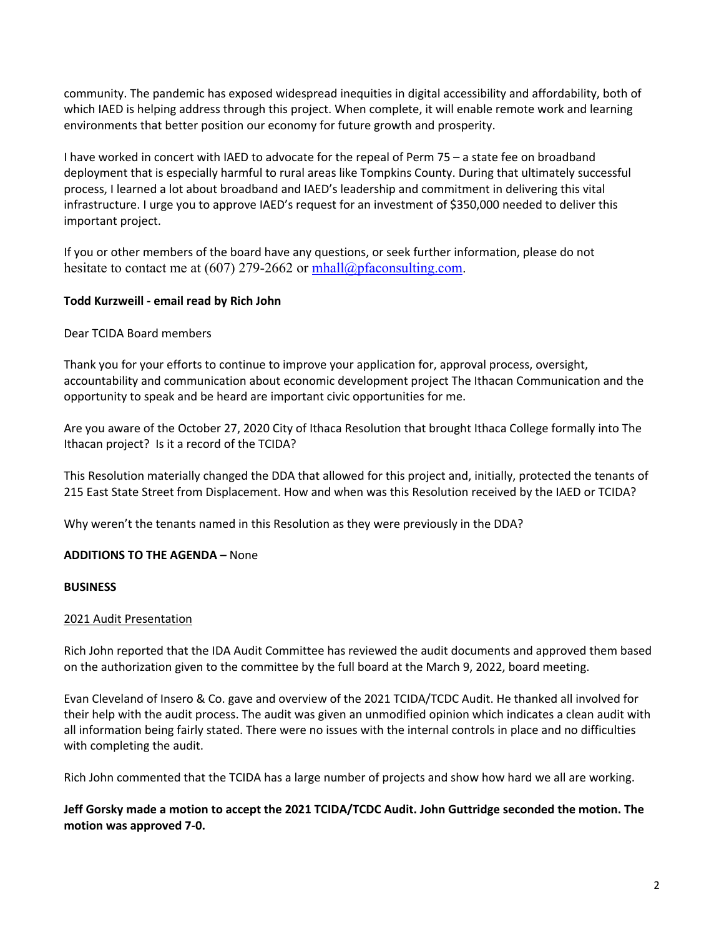community. The pandemic has exposed widespread inequities in digital accessibility and affordability, both of which IAED is helping address through this project. When complete, it will enable remote work and learning environments that better position our economy for future growth and prosperity.

I have worked in concert with IAED to advocate for the repeal of Perm 75 – a state fee on broadband deployment that is especially harmful to rural areas like Tompkins County. During that ultimately successful process, I learned a lot about broadband and IAED's leadership and commitment in delivering this vital infrastructure. I urge you to approve IAED's request for an investment of \$350,000 needed to deliver this important project.

If you or other members of the board have any questions, or seek further information, please do not hesitate to contact me at (607) 279-2662 or  $mhall@pfaconsulting.com$ .

## **Todd Kurzweill - email read by Rich John**

## Dear TCIDA Board members

Thank you for your efforts to continue to improve your application for, approval process, oversight, accountability and communication about economic development project The Ithacan Communication and the opportunity to speak and be heard are important civic opportunities for me.

Are you aware of the October 27, 2020 City of Ithaca Resolution that brought Ithaca College formally into The Ithacan project? Is it a record of the TCIDA?

This Resolution materially changed the DDA that allowed for this project and, initially, protected the tenants of 215 East State Street from Displacement. How and when was this Resolution received by the IAED or TCIDA?

Why weren't the tenants named in this Resolution as they were previously in the DDA?

## **ADDITIONS TO THE AGENDA –** None

### **BUSINESS**

### 2021 Audit Presentation

Rich John reported that the IDA Audit Committee has reviewed the audit documents and approved them based on the authorization given to the committee by the full board at the March 9, 2022, board meeting.

Evan Cleveland of Insero & Co. gave and overview of the 2021 TCIDA/TCDC Audit. He thanked all involved for their help with the audit process. The audit was given an unmodified opinion which indicates a clean audit with all information being fairly stated. There were no issues with the internal controls in place and no difficulties with completing the audit.

Rich John commented that the TCIDA has a large number of projects and show how hard we all are working.

## **Jeff Gorsky made a motion to accept the 2021 TCIDA/TCDC Audit. John Guttridge seconded the motion. The motion was approved 7-0.**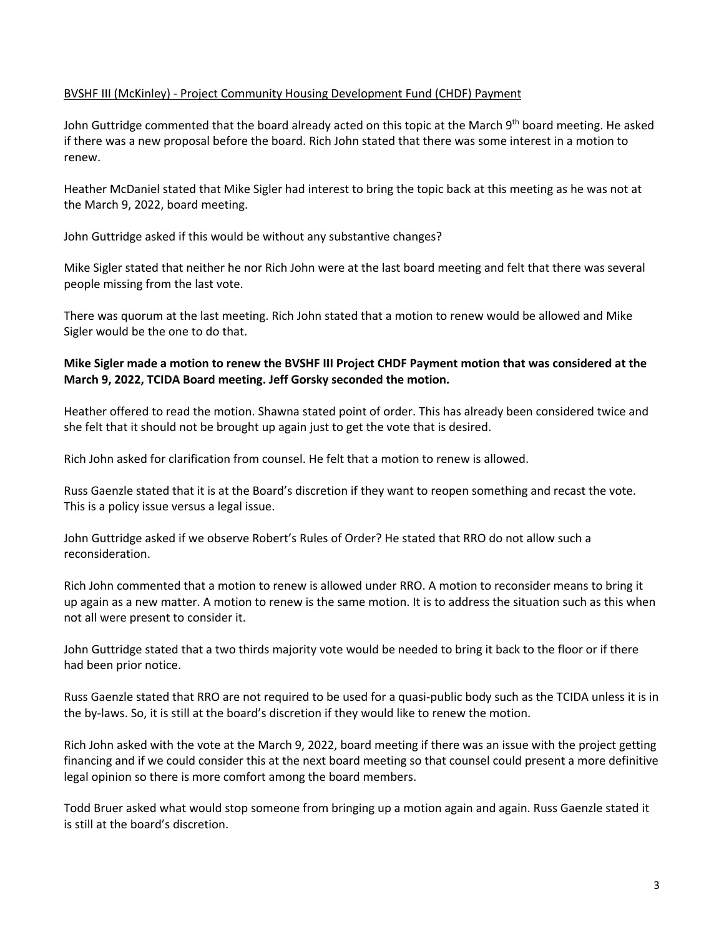## BVSHF III (McKinley) - Project Community Housing Development Fund (CHDF) Payment

John Guttridge commented that the board already acted on this topic at the March 9<sup>th</sup> board meeting. He asked if there was a new proposal before the board. Rich John stated that there was some interest in a motion to renew.

Heather McDaniel stated that Mike Sigler had interest to bring the topic back at this meeting as he was not at the March 9, 2022, board meeting.

John Guttridge asked if this would be without any substantive changes?

Mike Sigler stated that neither he nor Rich John were at the last board meeting and felt that there was several people missing from the last vote.

There was quorum at the last meeting. Rich John stated that a motion to renew would be allowed and Mike Sigler would be the one to do that.

## **Mike Sigler made a motion to renew the BVSHF III Project CHDF Payment motion that was considered at the March 9, 2022, TCIDA Board meeting. Jeff Gorsky seconded the motion.**

Heather offered to read the motion. Shawna stated point of order. This has already been considered twice and she felt that it should not be brought up again just to get the vote that is desired.

Rich John asked for clarification from counsel. He felt that a motion to renew is allowed.

Russ Gaenzle stated that it is at the Board's discretion if they want to reopen something and recast the vote. This is a policy issue versus a legal issue.

John Guttridge asked if we observe Robert's Rules of Order? He stated that RRO do not allow such a reconsideration.

Rich John commented that a motion to renew is allowed under RRO. A motion to reconsider means to bring it up again as a new matter. A motion to renew is the same motion. It is to address the situation such as this when not all were present to consider it.

John Guttridge stated that a two thirds majority vote would be needed to bring it back to the floor or if there had been prior notice.

Russ Gaenzle stated that RRO are not required to be used for a quasi-public body such as the TCIDA unless it is in the by-laws. So, it is still at the board's discretion if they would like to renew the motion.

Rich John asked with the vote at the March 9, 2022, board meeting if there was an issue with the project getting financing and if we could consider this at the next board meeting so that counsel could present a more definitive legal opinion so there is more comfort among the board members.

Todd Bruer asked what would stop someone from bringing up a motion again and again. Russ Gaenzle stated it is still at the board's discretion.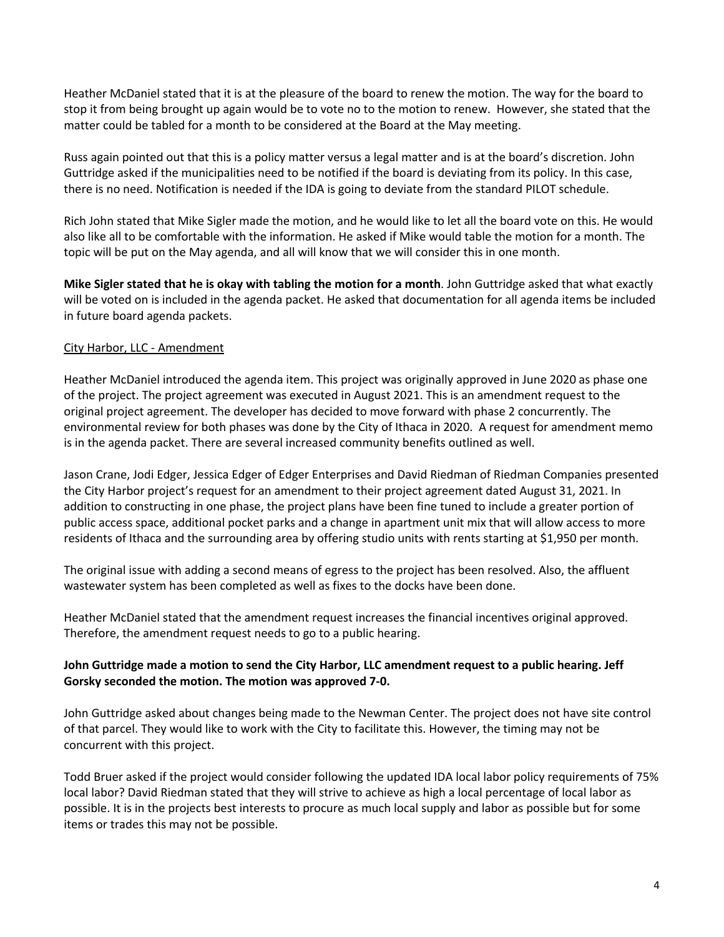Heather McDaniel stated that it is at the pleasure of the board to renew the motion. The way for the board to stop it from being brought up again would be to vote no to the motion to renew. However, she stated that the matter could be tabled for a month to be considered at the Board at the May meeting.

Russ again pointed out that this is a policy matter versus a legal matter and is at the board's discretion. John Guttridge asked if the municipalities need to be notified if the board is deviating from its policy. In this case, there is no need. Notification is needed if the IDA is going to deviate from the standard PILOT schedule.

Rich John stated that Mike Sigler made the motion, and he would like to let all the board vote on this. He would also like all to be comfortable with the information. He asked if Mike would table the motion for a month. The topic will be put on the May agenda, and all will know that we will consider this in one month.

**Mike Sigler stated that he is okay with tabling the motion for a month**. John Guttridge asked that what exactly will be voted on is included in the agenda packet. He asked that documentation for all agenda items be included in future board agenda packets.

## City Harbor, LLC - Amendment

Heather McDaniel introduced the agenda item. This project was originally approved in June 2020 as phase one of the project. The project agreement was executed in August 2021. This is an amendment request to the original project agreement. The developer has decided to move forward with phase 2 concurrently. The environmental review for both phases was done by the City of Ithaca in 2020. A request for amendment memo is in the agenda packet. There are several increased community benefits outlined as well.

Jason Crane, Jodi Edger, Jessica Edger of Edger Enterprises and David Riedman of Riedman Companies presented the City Harbor project's request for an amendment to their project agreement dated August 31, 2021. In addition to constructing in one phase, the project plans have been fine tuned to include a greater portion of public access space, additional pocket parks and a change in apartment unit mix that will allow access to more residents of Ithaca and the surrounding area by offering studio units with rents starting at \$1,950 per month.

The original issue with adding a second means of egress to the project has been resolved. Also, the affluent wastewater system has been completed as well as fixes to the docks have been done.

Heather McDaniel stated that the amendment request increases the financial incentives original approved. Therefore, the amendment request needs to go to a public hearing.

## **John Guttridge made a motion to send the City Harbor, LLC amendment request to a public hearing. Jeff Gorsky seconded the motion. The motion was approved 7-0.**

John Guttridge asked about changes being made to the Newman Center. The project does not have site control of that parcel. They would like to work with the City to facilitate this. However, the timing may not be concurrent with this project.

Todd Bruer asked if the project would consider following the updated IDA local labor policy requirements of 75% local labor? David Riedman stated that they will strive to achieve as high a local percentage of local labor as possible. It is in the projects best interests to procure as much local supply and labor as possible but for some items or trades this may not be possible.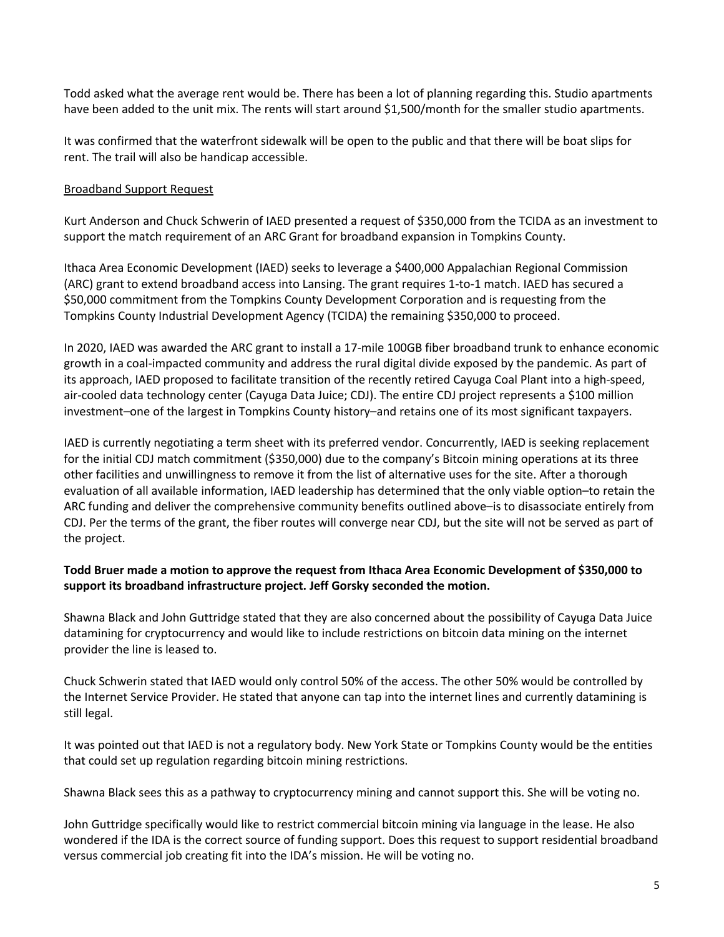Todd asked what the average rent would be. There has been a lot of planning regarding this. Studio apartments have been added to the unit mix. The rents will start around \$1,500/month for the smaller studio apartments.

It was confirmed that the waterfront sidewalk will be open to the public and that there will be boat slips for rent. The trail will also be handicap accessible.

## Broadband Support Request

Kurt Anderson and Chuck Schwerin of IAED presented a request of \$350,000 from the TCIDA as an investment to support the match requirement of an ARC Grant for broadband expansion in Tompkins County.

Ithaca Area Economic Development (IAED) seeks to leverage a \$400,000 Appalachian Regional Commission (ARC) grant to extend broadband access into Lansing. The grant requires 1-to-1 match. IAED has secured a \$50,000 commitment from the Tompkins County Development Corporation and is requesting from the Tompkins County Industrial Development Agency (TCIDA) the remaining \$350,000 to proceed.

In 2020, IAED was awarded the ARC grant to install a 17-mile 100GB fiber broadband trunk to enhance economic growth in a coal-impacted community and address the rural digital divide exposed by the pandemic. As part of its approach, IAED proposed to facilitate transition of the recently retired Cayuga Coal Plant into a high-speed, air-cooled data technology center (Cayuga Data Juice; CDJ). The entire CDJ project represents a \$100 million investment–one of the largest in Tompkins County history–and retains one of its most significant taxpayers.

IAED is currently negotiating a term sheet with its preferred vendor. Concurrently, IAED is seeking replacement for the initial CDJ match commitment (\$350,000) due to the company's Bitcoin mining operations at its three other facilities and unwillingness to remove it from the list of alternative uses for the site. After a thorough evaluation of all available information, IAED leadership has determined that the only viable option–to retain the ARC funding and deliver the comprehensive community benefits outlined above–is to disassociate entirely from CDJ. Per the terms of the grant, the fiber routes will converge near CDJ, but the site will not be served as part of the project.

## **Todd Bruer made a motion to approve the request from Ithaca Area Economic Development of \$350,000 to support its broadband infrastructure project. Jeff Gorsky seconded the motion.**

Shawna Black and John Guttridge stated that they are also concerned about the possibility of Cayuga Data Juice datamining for cryptocurrency and would like to include restrictions on bitcoin data mining on the internet provider the line is leased to.

Chuck Schwerin stated that IAED would only control 50% of the access. The other 50% would be controlled by the Internet Service Provider. He stated that anyone can tap into the internet lines and currently datamining is still legal.

It was pointed out that IAED is not a regulatory body. New York State or Tompkins County would be the entities that could set up regulation regarding bitcoin mining restrictions.

Shawna Black sees this as a pathway to cryptocurrency mining and cannot support this. She will be voting no.

John Guttridge specifically would like to restrict commercial bitcoin mining via language in the lease. He also wondered if the IDA is the correct source of funding support. Does this request to support residential broadband versus commercial job creating fit into the IDA's mission. He will be voting no.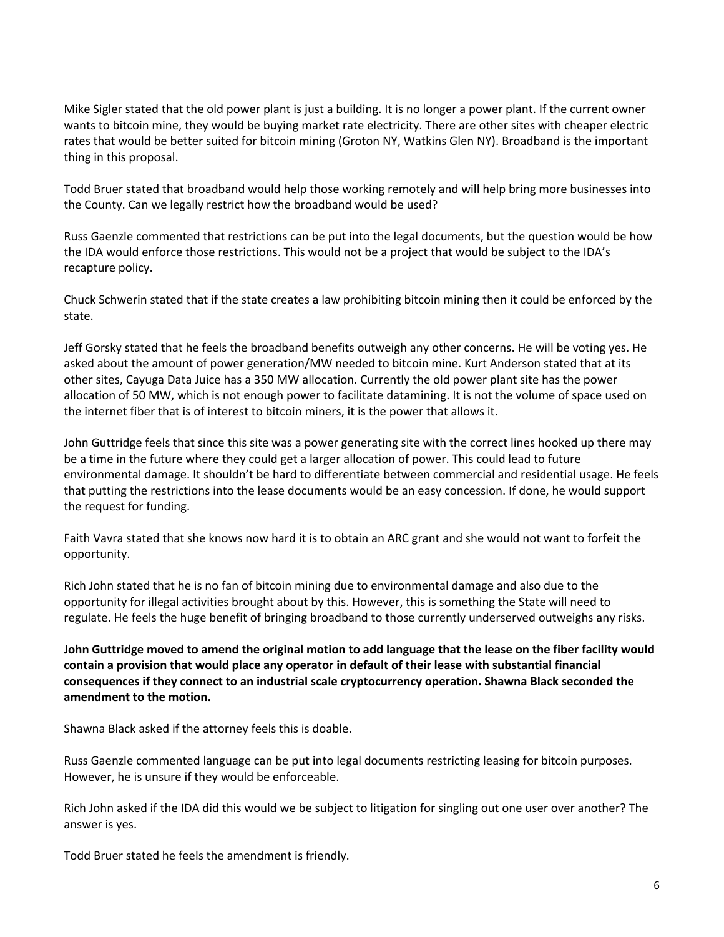Mike Sigler stated that the old power plant is just a building. It is no longer a power plant. If the current owner wants to bitcoin mine, they would be buying market rate electricity. There are other sites with cheaper electric rates that would be better suited for bitcoin mining (Groton NY, Watkins Glen NY). Broadband is the important thing in this proposal.

Todd Bruer stated that broadband would help those working remotely and will help bring more businesses into the County. Can we legally restrict how the broadband would be used?

Russ Gaenzle commented that restrictions can be put into the legal documents, but the question would be how the IDA would enforce those restrictions. This would not be a project that would be subject to the IDA's recapture policy.

Chuck Schwerin stated that if the state creates a law prohibiting bitcoin mining then it could be enforced by the state.

Jeff Gorsky stated that he feels the broadband benefits outweigh any other concerns. He will be voting yes. He asked about the amount of power generation/MW needed to bitcoin mine. Kurt Anderson stated that at its other sites, Cayuga Data Juice has a 350 MW allocation. Currently the old power plant site has the power allocation of 50 MW, which is not enough power to facilitate datamining. It is not the volume of space used on the internet fiber that is of interest to bitcoin miners, it is the power that allows it.

John Guttridge feels that since this site was a power generating site with the correct lines hooked up there may be a time in the future where they could get a larger allocation of power. This could lead to future environmental damage. It shouldn't be hard to differentiate between commercial and residential usage. He feels that putting the restrictions into the lease documents would be an easy concession. If done, he would support the request for funding.

Faith Vavra stated that she knows now hard it is to obtain an ARC grant and she would not want to forfeit the opportunity.

Rich John stated that he is no fan of bitcoin mining due to environmental damage and also due to the opportunity for illegal activities brought about by this. However, this is something the State will need to regulate. He feels the huge benefit of bringing broadband to those currently underserved outweighs any risks.

**John Guttridge moved to amend the original motion to add language that the lease on the fiber facility would contain a provision that would place any operator in default of their lease with substantial financial consequences if they connect to an industrial scale cryptocurrency operation. Shawna Black seconded the amendment to the motion.**

Shawna Black asked if the attorney feels this is doable.

Russ Gaenzle commented language can be put into legal documents restricting leasing for bitcoin purposes. However, he is unsure if they would be enforceable.

Rich John asked if the IDA did this would we be subject to litigation for singling out one user over another? The answer is yes.

Todd Bruer stated he feels the amendment is friendly.